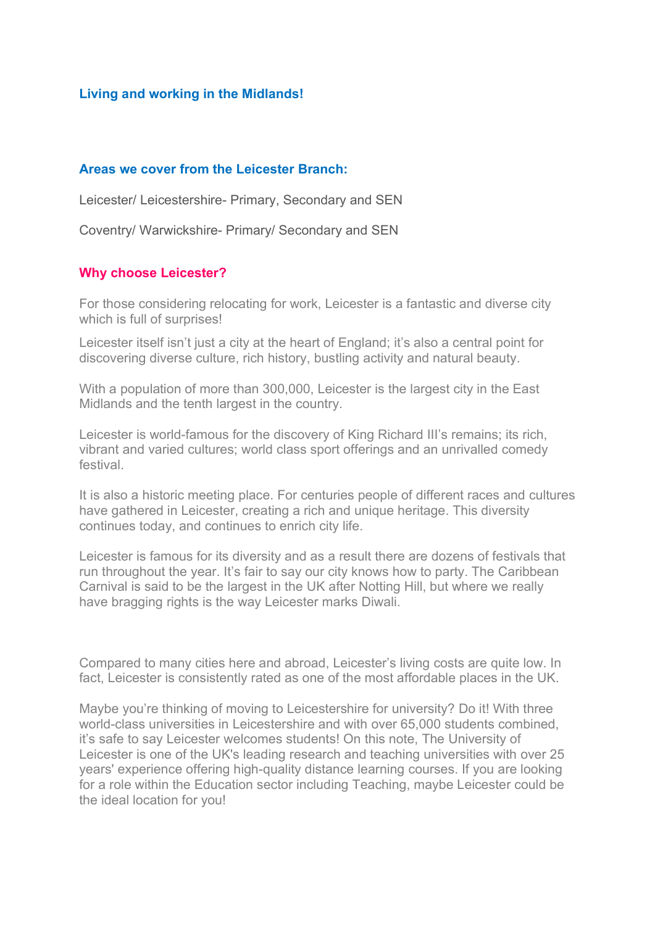### Living and working in the Midlands!

#### Areas we cover from the Leicester Branch:

Leicester/ Leicestershire- Primary, Secondary and SEN

Coventry/ Warwickshire- Primary/ Secondary and SEN

#### Why choose Leicester?

For those considering relocating for work, Leicester is a fantastic and diverse city which is full of surprises!

Leicester itself isn't just a city at the heart of England; it's also a central point for discovering diverse culture, rich history, bustling activity and natural beauty.

With a population of more than 300,000, Leicester is the largest city in the East Midlands and the tenth largest in the country.

Leicester is world-famous for the discovery of King Richard III's remains; its rich, vibrant and varied cultures; world class sport offerings and an unrivalled comedy festival.

It is also a historic meeting place. For centuries people of different races and cultures have gathered in Leicester, creating a rich and unique heritage. This diversity continues today, and continues to enrich city life.

Leicester is famous for its diversity and as a result there are dozens of festivals that run throughout the year. It's fair to say our city knows how to party. The Caribbean Carnival is said to be the largest in the UK after Notting Hill, but where we really have bragging rights is the way Leicester marks Diwali.

Compared to many cities here and abroad, Leicester's living costs are quite low. In fact, Leicester is consistently rated as one of the most affordable places in the UK.

Maybe you're thinking of moving to Leicestershire for university? Do it! With three world-class universities in Leicestershire and with over 65,000 students combined, it's safe to say Leicester welcomes students! On this note, The University of Leicester is one of the UK's leading research and teaching universities with over 25 years' experience offering high-quality distance learning courses. If you are looking for a role within the Education sector including Teaching, maybe Leicester could be the ideal location for you!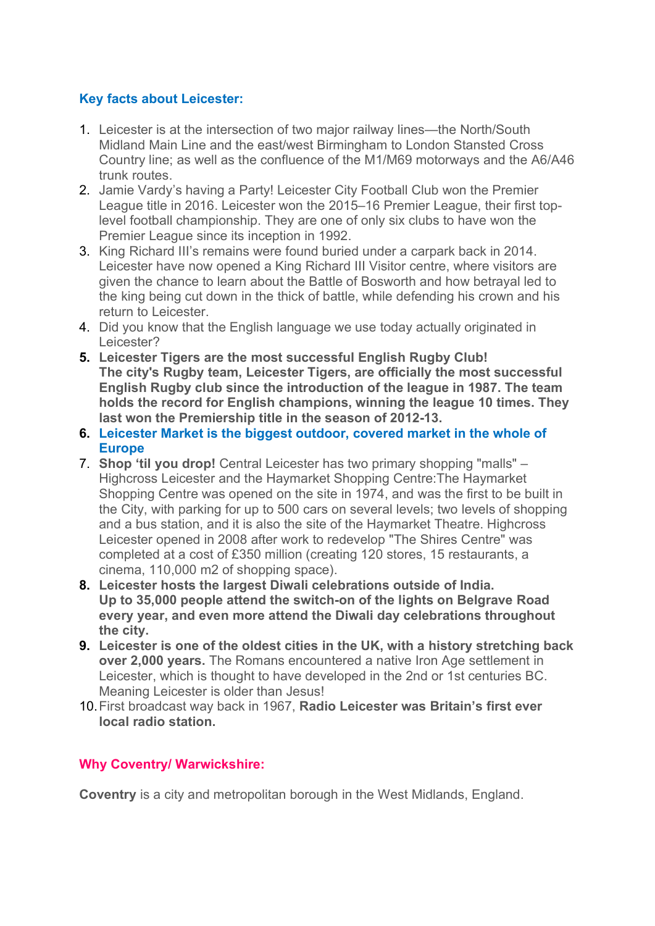# Key facts about Leicester:

- 1. Leicester is at the intersection of two major railway lines—the North/South Midland Main Line and the east/west Birmingham to London Stansted Cross Country line; as well as the confluence of the M1/M69 motorways and the A6/A46 trunk routes.
- 2. Jamie Vardy's having a Party! Leicester City Football Club won the Premier League title in 2016. Leicester won the 2015–16 Premier League, their first toplevel football championship. They are one of only six clubs to have won the Premier League since its inception in 1992.
- 3. King Richard III's remains were found buried under a carpark back in 2014. Leicester have now opened a King Richard III Visitor centre, where visitors are given the chance to learn about the Battle of Bosworth and how betrayal led to the king being cut down in the thick of battle, while defending his crown and his return to Leicester.
- 4. Did you know that the English language we use today actually originated in Leicester?
- 5. Leicester Tigers are the most successful English Rugby Club! The city's Rugby team, Leicester Tigers, are officially the most successful English Rugby club since the introduction of the league in 1987. The team holds the record for English champions, winning the league 10 times. They last won the Premiership title in the season of 2012-13.
- 6. Leicester Market is the biggest outdoor, covered market in the whole of Europe
- 7. Shop 'til you drop! Central Leicester has two primary shopping "malls" Highcross Leicester and the Haymarket Shopping Centre:The Haymarket Shopping Centre was opened on the site in 1974, and was the first to be built in the City, with parking for up to 500 cars on several levels; two levels of shopping and a bus station, and it is also the site of the Haymarket Theatre. Highcross Leicester opened in 2008 after work to redevelop "The Shires Centre" was completed at a cost of £350 million (creating 120 stores, 15 restaurants, a cinema, 110,000 m2 of shopping space).
- 8. Leicester hosts the largest Diwali celebrations outside of India. Up to 35,000 people attend the switch-on of the lights on Belgrave Road every year, and even more attend the Diwali day celebrations throughout the city.
- 9. Leicester is one of the oldest cities in the UK, with a history stretching back over 2,000 years. The Romans encountered a native Iron Age settlement in Leicester, which is thought to have developed in the 2nd or 1st centuries BC. Meaning Leicester is older than Jesus!
- 10. First broadcast way back in 1967, Radio Leicester was Britain's first ever local radio station.

## Why Coventry/ Warwickshire:

Coventry is a city and metropolitan borough in the West Midlands, England.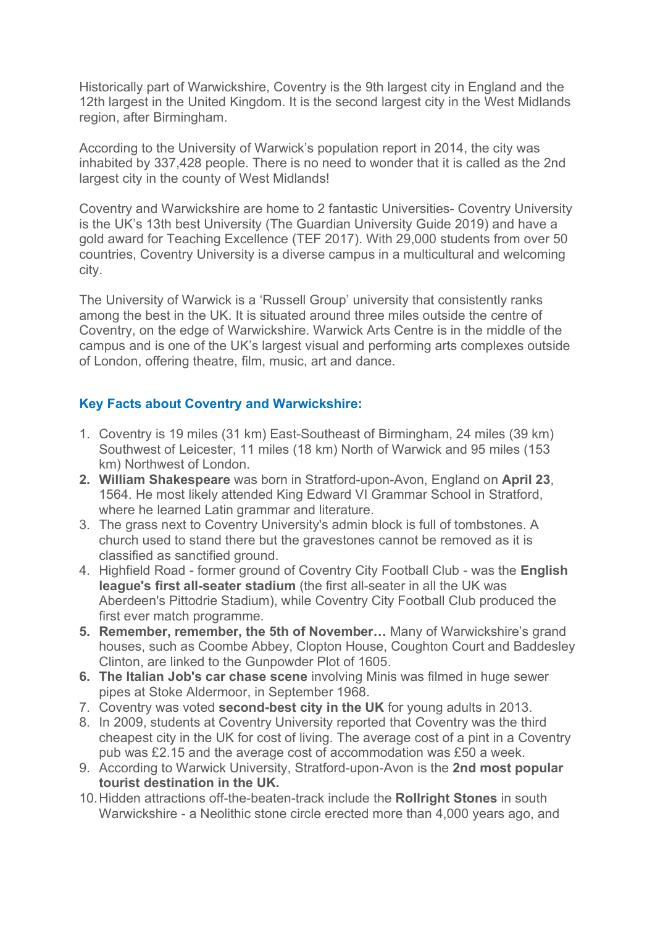Historically part of Warwickshire, Coventry is the 9th largest city in England and the 12th largest in the United Kingdom. It is the second largest city in the West Midlands region, after Birmingham.

According to the University of Warwick's population report in 2014, the city was inhabited by 337,428 people. There is no need to wonder that it is called as the 2nd largest city in the county of West Midlands!

Coventry and Warwickshire are home to 2 fantastic Universities- Coventry University is the UK's 13th best University (The Guardian University Guide 2019) and have a gold award for Teaching Excellence (TEF 2017). With 29,000 students from over 50 countries, Coventry University is a diverse campus in a multicultural and welcoming city.

The University of Warwick is a 'Russell Group' university that consistently ranks among the best in the UK. It is situated around three miles outside the centre of Coventry, on the edge of Warwickshire. Warwick Arts Centre is in the middle of the campus and is one of the UK's largest visual and performing arts complexes outside of London, offering theatre, film, music, art and dance.

# Key Facts about Coventry and Warwickshire:

- 1. Coventry is 19 miles (31 km) East-Southeast of Birmingham, 24 miles (39 km) Southwest of Leicester, 11 miles (18 km) North of Warwick and 95 miles (153 km) Northwest of London.
- 2. William Shakespeare was born in Stratford-upon-Avon, England on April 23, 1564. He most likely attended King Edward VI Grammar School in Stratford, where he learned Latin grammar and literature.
- 3. The grass next to Coventry University's admin block is full of tombstones. A church used to stand there but the gravestones cannot be removed as it is classified as sanctified ground.
- 4. Highfield Road former ground of Coventry City Football Club was the English league's first all-seater stadium (the first all-seater in all the UK was Aberdeen's Pittodrie Stadium), while Coventry City Football Club produced the first ever match programme.
- 5. Remember, remember, the 5th of November… Many of Warwickshire's grand houses, such as Coombe Abbey, Clopton House, Coughton Court and Baddesley Clinton, are linked to the Gunpowder Plot of 1605.
- 6. The Italian Job's car chase scene involving Minis was filmed in huge sewer pipes at Stoke Aldermoor, in September 1968.
- 7. Coventry was voted second-best city in the UK for young adults in 2013.
- 8. In 2009, students at Coventry University reported that Coventry was the third cheapest city in the UK for cost of living. The average cost of a pint in a Coventry pub was £2.15 and the average cost of accommodation was £50 a week.
- 9. According to Warwick University, Stratford-upon-Avon is the 2nd most popular tourist destination in the UK.
- 10. Hidden attractions off-the-beaten-track include the Rollright Stones in south Warwickshire - a Neolithic stone circle erected more than 4,000 years ago, and